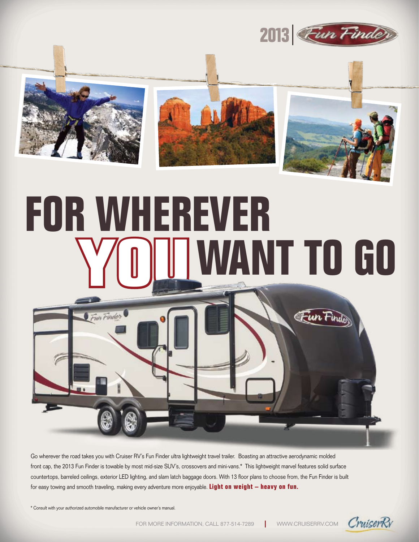





# **For Wherever WANT TO GO**



Go wherever the road takes you with Cruiser RV's Fun Finder ultra lightweight travel trailer. Boasting an attractive aerodynamic molded front cap, the 2013 Fun Finder is towable by most mid-size SUV's, crossovers and mini-vans.\* This lightweight marvel features solid surface countertops, barreled ceilings, exterior LED lighting, and slam latch baggage doors. With 13 floor plans to choose from, the Fun Finder is built for easy towing and smooth traveling, making every adventure more enjoyable. **Light on weight – heavy on fun.**

\* Consult with your authorized automobile manufacturer or vehicle owner's manual.